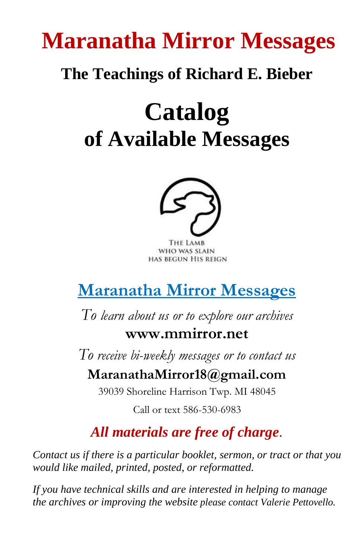# **Maranatha Mirror Messages**

## **The Teachings of Richard E. Bieber**

# **Catalog of Available Messages**



THE LAMB WHO WAS SLAIN HAS BEGUN HIS REIGN

# **Maranatha Mirror Messages**

*To learn about us or to explore our archives*

#### **www.mmirror.net**

*To receive bi-weekly messages or to contact us*

#### **MaranathaMirror18@gmail.com**

39039 Shoreline Harrison Twp. MI 48045

Call or text 586-530-6983

#### *All materials are free of charge.*

*Contact us if there is a particular booklet, sermon, or tract or that you would like mailed, printed, posted, or reformatted.* 

*If you have technical skills and are interested in helping to manage the archives or improving the website please contact Valerie Pettovello.*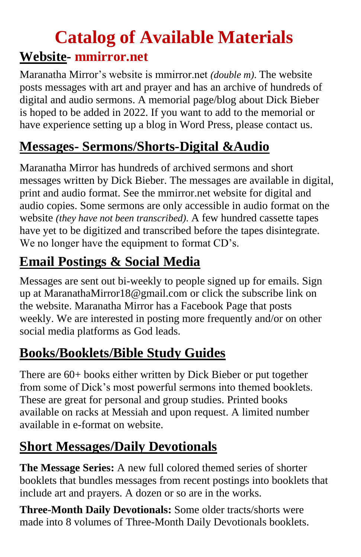# **Catalog of Available Materials Website- mmirror.net**

Maranatha Mirror's website is mmirror.net *(double m)*. The website posts messages with art and prayer and has an archive of hundreds of digital and audio sermons. A memorial page/blog about Dick Bieber is hoped to be added in 2022. If you want to add to the memorial or have experience setting up a blog in Word Press, please contact us.

### **Messages- Sermons/Shorts-Digital &Audio**

Maranatha Mirror has hundreds of archived sermons and short messages written by Dick Bieber. The messages are available in digital, print and audio format. See the mmirror.net website for digital and audio copies. Some sermons are only accessible in audio format on the website *(they have not been transcribed).* A few hundred cassette tapes have yet to be digitized and transcribed before the tapes disintegrate. We no longer have the equipment to format CD's.

## **Email Postings & Social Media**

Messages are sent out bi-weekly to people signed up for emails. Sign up at MaranathaMirror18@gmail.com or click the subscribe link on the website. Maranatha Mirror has a Facebook Page that posts weekly. We are interested in posting more frequently and/or on other social media platforms as God leads.

## **Books/Booklets/Bible Study Guides**

There are 60+ books either written by Dick Bieber or put together from some of Dick's most powerful sermons into themed booklets. These are great for personal and group studies. Printed books available on racks at Messiah and upon request. A limited number available in e-format on website.

### **Short Messages/Daily Devotionals**

**The Message Series:** A new full colored themed series of shorter booklets that bundles messages from recent postings into booklets that include art and prayers. A dozen or so are in the works.

**Three-Month Daily Devotionals:** Some older tracts/shorts were made into 8 volumes of Three-Month Daily Devotionals booklets.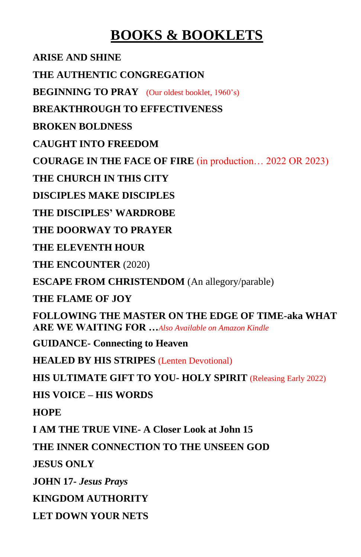#### **BOOKS & BOOKLETS**

**ARISE AND SHINE**

**THE AUTHENTIC CONGREGATION**

**BEGINNING TO PRAY** (Our oldest booklet, 1960's)

**BREAKTHROUGH TO EFFECTIVENESS**

**BROKEN BOLDNESS**

**CAUGHT INTO FREEDOM**

**COURAGE IN THE FACE OF FIRE** (in production… 2022 OR 2023)

**THE CHURCH IN THIS CITY**

**DISCIPLES MAKE DISCIPLES**

**THE DISCIPLES' WARDROBE**

**THE DOORWAY TO PRAYER**

**THE ELEVENTH HOUR**

**THE ENCOUNTER** (2020)

**ESCAPE FROM CHRISTENDOM** (An allegory/parable)

**THE FLAME OF JOY**

**FOLLOWING THE MASTER ON THE EDGE OF TIME-aka WHAT ARE WE WAITING FOR …***Also Available on Amazon Kindle*

**GUIDANCE- Connecting to Heaven**

**HEALED BY HIS STRIPES** (Lenten Devotional)

**HIS ULTIMATE GIFT TO YOU- HOLY SPIRIT** (Releasing Early 2022)

**HIS VOICE – HIS WORDS**

**HOPE** 

**I AM THE TRUE VINE- A Closer Look at John 15**

**THE INNER CONNECTION TO THE UNSEEN GOD**

**JESUS ONLY**

**JOHN 17-** *Jesus Prays*

**KINGDOM AUTHORITY**

**LET DOWN YOUR NETS**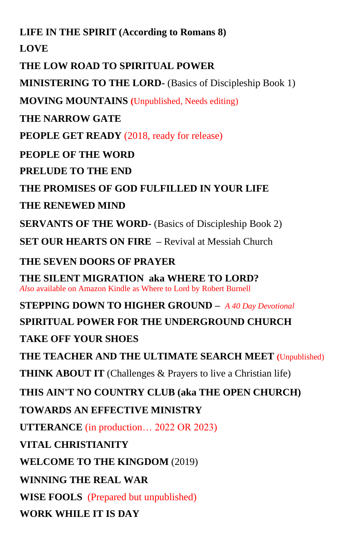**LIFE IN THE SPIRIT (According to Romans 8)**

**LOVE** 

**THE LOW ROAD TO SPIRITUAL POWER** 

**MINISTERING TO THE LORD-** (Basics of Discipleship Book 1)

**MOVING MOUNTAINS (**Unpublished, Needs editing)

**THE NARROW GATE** 

**PEOPLE GET READY** (2018, ready for release)

**PEOPLE OF THE WORD** 

**PRELUDE TO THE END**

**THE PROMISES OF GOD FULFILLED IN YOUR LIFE** 

**THE RENEWED MIND**

**SERVANTS OF THE WORD-** (Basics of Discipleship Book 2)

**SET OUR HEARTS ON FIRE –** Revival at Messiah Church

**THE SEVEN DOORS OF PRAYER**

**THE SILENT MIGRATION aka WHERE TO LORD?** *Also* available on Amazon Kindle as Where to Lord by Robert Burnell

**STEPPING DOWN TO HIGHER GROUND –** *A 40 Day Devotional* **SPIRITUAL POWER FOR THE UNDERGROUND CHURCH TAKE OFF YOUR SHOES THE TEACHER AND THE ULTIMATE SEARCH MEET (**Unpublished) **THINK ABOUT IT** (Challenges & Prayers to live a Christian life) **THIS AIN'T NO COUNTRY CLUB (aka THE OPEN CHURCH) TOWARDS AN EFFECTIVE MINISTRY UTTERANCE** (in production… 2022 OR 2023) **VITAL CHRISTIANITY WELCOME TO THE KINGDOM** (2019) **WINNING THE REAL WAR WISE FOOLS** (Prepared but unpublished) **WORK WHILE IT IS DAY**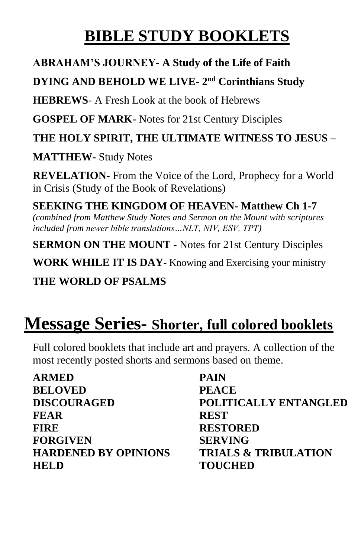## **BIBLE STUDY BOOKLETS**

#### **ABRAHAM'S JOURNEY- A Study of the Life of Faith**

#### **DYING AND BEHOLD WE LIVE- 2 nd Corinthians Study**

**HEBREWS**- A Fresh Look at the book of Hebrews

**GOSPEL OF MARK-** Notes for 21st Century Disciples

**THE HOLY SPIRIT, THE ULTIMATE WITNESS TO JESUS –**

**MATTHEW-** Study Notes

**REVELATION-** From the Voice of the Lord, Prophecy for a World in Crisis (Study of the Book of Revelations)

**SEEKING THE KINGDOM OF HEAVEN- Matthew Ch 1-7**  *(combined from Matthew Study Notes and Sermon on the Mount with scriptures included from newer bible translations…NLT, NIV, ESV, TPT)*

**SERMON ON THE MOUNT -** Notes for 21st Century Disciples

**WORK WHILE IT IS DAY**- Knowing and Exercising your ministry

**THE WORLD OF PSALMS**

# **Message Series- Shorter, full colored booklets**

Full colored booklets that include art and prayers. A collection of the most recently posted shorts and sermons based on theme.

| <b>ARMED</b>                | <b>PAIN</b>                     |
|-----------------------------|---------------------------------|
| <b>BELOVED</b>              | <b>PEACE</b>                    |
| <b>DISCOURAGED</b>          | POLITICALLY ENTANGLED           |
| <b>FEAR</b>                 | <b>REST</b>                     |
| <b>FIRE</b>                 | <b>RESTORED</b>                 |
| <b>FORGIVEN</b>             | <b>SERVING</b>                  |
| <b>HARDENED BY OPINIONS</b> | <b>TRIALS &amp; TRIBULATION</b> |
| <b>HELD</b>                 | <b>TOUCHED</b>                  |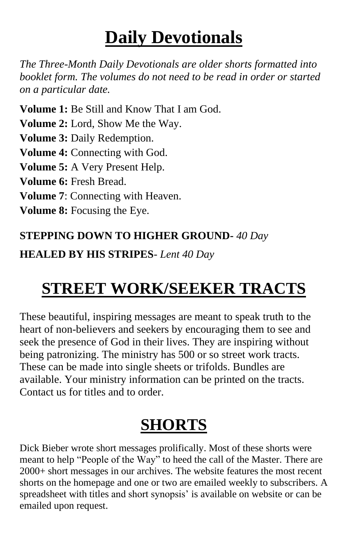# **Daily Devotionals**

*The Three-Month Daily Devotionals are older shorts formatted into booklet form. The volumes do not need to be read in order or started on a particular date.* 

**Volume 1:** Be Still and Know That I am God. **Volume 2:** Lord, Show Me the Way. **Volume 3:** Daily Redemption. **Volume 4:** Connecting with God. **Volume 5:** A Very Present Help. **Volume 6:** Fresh Bread. **Volume 7**: Connecting with Heaven. **Volume 8:** Focusing the Eye.

#### **STEPPING DOWN TO HIGHER GROUND-** *40 Day*

**HEALED BY HIS STRIPES***- Lent 40 Day*

## **STREET WORK/SEEKER TRACTS**

These beautiful, inspiring messages are meant to speak truth to the heart of non-believers and seekers by encouraging them to see and seek the presence of God in their lives. They are inspiring without being patronizing. The ministry has 500 or so street work tracts. These can be made into single sheets or trifolds. Bundles are available. Your ministry information can be printed on the tracts. Contact us for titles and to order.

# **SHORTS**

Dick Bieber wrote short messages prolifically. Most of these shorts were meant to help "People of the Way" to heed the call of the Master. There are 2000+ short messages in our archives. The website features the most recent shorts on the homepage and one or two are emailed weekly to subscribers. A spreadsheet with titles and short synopsis' is available on website or can be emailed upon request.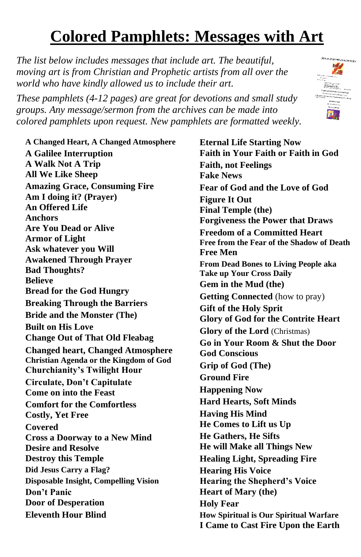## **Colored Pamphlets: Messages with Art**

*The list below includes messages that include art. The beautiful, moving art is from Christian and Prophetic artists from all over the world who have kindly allowed us to include their art.*

*These pamphlets (4-12 pages) are great for devotions and small study groups. Any message/sermon from the archives can be made into colored pamphlets upon request. New pamphlets are formatted weekly.*



**A Changed Heart, A Changed Atmosphere A Galilee Interruption A Walk Not A Trip All We Like Sheep Amazing Grace, Consuming Fire Am I doing it? (Prayer) An Offered Life Anchors Are You Dead or Alive Armor of Light Ask whatever you Will Awakened Through Prayer Bad Thoughts? Believe Bread for the God Hungry Breaking Through the Barriers Bride and the Monster (The) Built on His Love Change Out of That Old Fleabag Changed heart, Changed Atmosphere Christian Agenda or the Kingdom of God Churchianity's Twilight Hour Circulate, Don't Capitulate Come on into the Feast Comfort for the Comfortless Costly, Yet Free Covered Cross a Doorway to a New Mind Desire and Resolve Destroy this Temple Did Jesus Carry a Flag? Disposable Insight, Compelling Vision Don't Panic Door of Desperation Eleventh Hour Blind**

**Eternal Life Starting Now Faith in Your Faith or Faith in God Faith, not Feelings Fake News Fear of God and the Love of God Figure It Out Final Temple (the) Forgiveness the Power that Draws Freedom of a Committed Heart Free from the Fear of the Shadow of Death Free Men From Dead Bones to Living People aka Take up Your Cross Daily Gem in the Mud (the) Getting Connected** (how to pray) **Gift of the Holy Sprit Glory of God for the Contrite Heart Glory of the Lord** (Christmas) **Go in Your Room & Shut the Door God Conscious Grip of God (The) Ground Fire Happening Now Hard Hearts, Soft Minds Having His Mind He Comes to Lift us Up He Gathers, He Sifts He will Make all Things New Healing Light, Spreading Fire Hearing His Voice Hearing the Shepherd's Voice Heart of Mary (the) Holy Fear How Spiritual is Our Spiritual Warfare I Came to Cast Fire Upon the Earth**